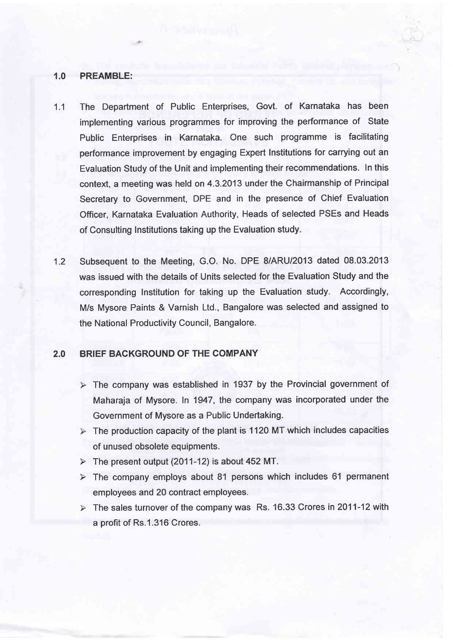### 1.0 PREAMBLE:

- 1.1 The Department of Public Enterprises, Govt. of Karnataka has been implementing various programmes for improving the performance of State Public Enterprises in Karnataka. One such programme is facilitating performance improvement by engaging Expert Institutions for carrying out an Evaluation Study of the Unit and implementing their recommendations. In this context, a meeting was held on 4.3.2013 under the Chairmanship of Principal Secretary to Government, DPE and in the presence of Chief Evaluation Officer, Karnataka Evaluation Authority, Heads of selected PSEs and Heads of Consulting Institutions taking up the Evaluation study.
- Subsequent to the Meeting, G.O. No. DPE 8/ARU|2O13 dated 08.03.2013 was issued with the details of Units selected for the Evaluation Study and the corresponding Institution for taking up the Evaluation study. Accordingly, M/s Mysore Paints & Varnish Ltd., Bangalore was selected and assigned to the National Productivity Council, Bangalore. 1.2

## 2.0 BRIEF BACKGROUND OF THE COMPANY

- $\triangleright$  The company was established in 1937 by the Provincial government of Maharaja of Mysore. In 1947, the company was incorporated under the Government of Mysore as a Public Undertaking.
- $\triangleright$  The production capacity of the plant is 1120 MT which includes capacities of unused obsolete equipments.
- $\triangleright$  The present output (2011-12) is about 452 MT.
- The company employs about 81 persons which includes 61 permanent employees and 20 contract employees.
- The sales turnover of the company was Rs. 16.33 Crores in 2011-12 with a profit of Rs.1.316 Crores.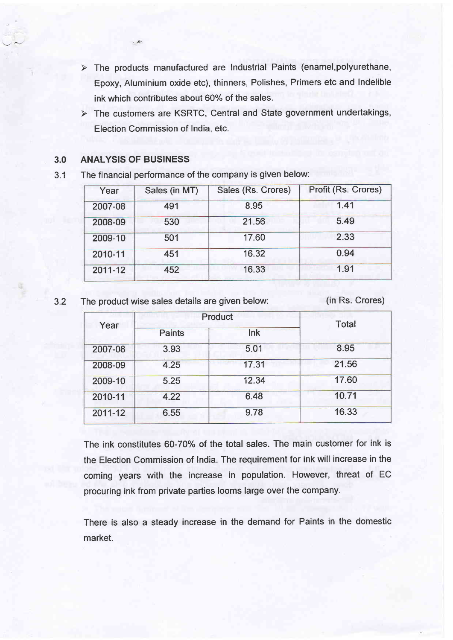- $\triangleright$  The products manufactured are Industrial Paints (enamel, polyurethane, Epoxy, Aluminium oxide etc), thinners, Polishes, Primers etc and Indelible ink which contributes about 60% of the sales.
- $\triangleright$  The customers are KSRTC, Central and State government undertakings, Election Commission of India, etc.

### 3.0 ANALYSIS OF BUSINESS

 $\cup$   $\sim$   $\sim$ 

3.1 The financial performance of the company is given below:

| Year    | Sales (in MT) | Sales (Rs. Crores) | Profit (Rs. Crores) |
|---------|---------------|--------------------|---------------------|
| 2007-08 | 491           | 8.95               | 1.41                |
| 2008-09 | 530           | 21.56              | 5.49                |
| 2009-10 | 501           | 17.60              | 2.33                |
| 2010-11 | 451           | 16.32              | 0.94                |
| 2011-12 | 452           | 16.33              | 1.91                |

3.2 The product wise sales details are given below: (in Rs. Crores)

| Year    | Product       |       | <b>Total</b> |
|---------|---------------|-------|--------------|
|         | <b>Paints</b> | Ink   |              |
| 2007-08 | 3.93          | 5.01  | 8.95         |
| 2008-09 | 4.25          | 17.31 | 21.56        |
| 2009-10 | 5.25          | 12.34 | 17.60        |
| 2010-11 | 4.22          | 6.48  | 10.71        |
| 2011-12 | 6.55          | 9.78  | 16.33        |

The ink constitutes 60-70% of the total sales. The main customer for ink is the Election Commission of lndia. The requirement for ink will increase in the coming years with the increase in population. However, threat of EC procuring ink from private parties looms large over the company.

There is also a steady increase in the demand for Paints in the domestic market.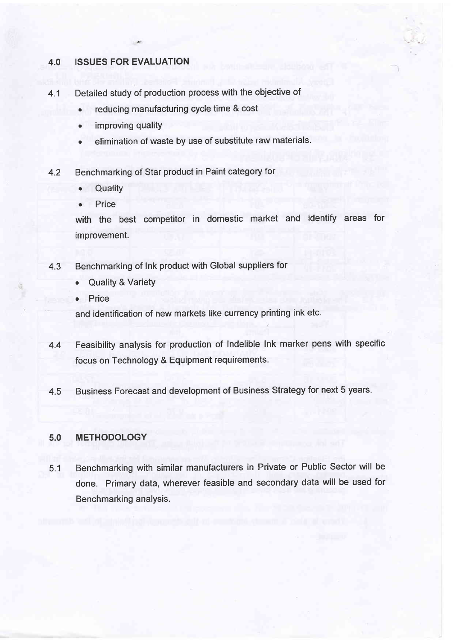- 4.0 ISSUES FOR EVALUATION<br>4.1 Detailed study of production process with the objective of<br>• reducing manufacturing cycle time & cost
	-
	- improving quality  $\bullet$
	- elimination of waste by use of substitute raw materials.  $\bullet$
- 4.2 Benchmarking of Star product in Paint category for<br>• Quality
	-
	- . Price

with the best competitor in domestic market and identify areas for improvement.

 $\cdot$ 

- 4.3 Benchmarking of Ink product with Global suppliers for
	- **Quality & Variety**
	- . Price

and identification of new markets like currency printing ink etc.

- 4.4 Feasibility analysis for production of lndelible Ink marker pens with specific focus on Technology & Equipment requirements.
- 4.5 Business Forecast and development of Business Strategy for next 5 years.

# 5.0 METHODOLOGY

5.1 Benchmarking with similar manufacturers in Private or Public Sector will be done. Primary data, wherever feasible and secondary data will be used for Benchmarking analysis.